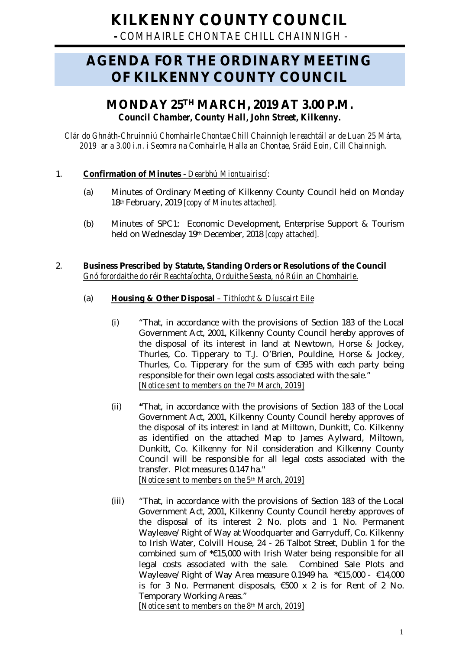# **KILKENNY COUNTY COUNCIL**

**-** *COMHAIRLE CHONTAE CHILL CHAINNIGH -*

# **AGENDA FOR THE ORDINARY MEETING OF KILKENNY COUNTY COUNCIL**

# **MONDAY 25TH MARCH, 2019 AT 3.00 P.M.** *Council Chamber, County Hall, John Street, Kilkenny.*

*Clár do Ghnáth-Chruinniú Chomhairle Chontae Chill Chainnigh le reachtáil ar de Luan 25 Márta, 2019 ar a 3.00 i.n. i Seomra na Comhairle, Halla an Chontae, Sráid Eoin, Cill Chainnigh.*

# 1. **Confirmation of Minutes** - *Dearbhú Miontuairiscí:*

- (a) Minutes of Ordinary Meeting of Kilkenny County Council held on Monday 18th February, 2019 *[copy of Minutes attached].*
- (b) Minutes of SPC1: Economic Development, Enterprise Support & Tourism held on Wednesday 19th December, 2018 *[copy attached].*

# 2. **Business Prescribed by Statute, Standing Orders or Resolutions of the Council** *Gnó forordaithe do réir Reachtaíochta, Orduithe Seasta, nó Rúin an Chomhairle*.

# (a) **Housing & Other Disposal** *– Tithíocht & Díuscairt Eile*

- (i) "That, in accordance with the provisions of Section 183 of the Local Government Act, 2001, Kilkenny County Council hereby approves of the disposal of its interest in land at Newtown, Horse & Jockey, Thurles, Co. Tipperary to T.J. O'Brien, Pouldine, Horse & Jockey, Thurles, Co. Tipperary for the sum of €395 with each party being responsible for their own legal costs associated with the sale." *[Notice sent to members on the 7th March, 2019]*
- (ii) **"**That, in accordance with the provisions of Section 183 of the Local Government Act, 2001, Kilkenny County Council hereby approves of the disposal of its interest in land at Miltown, Dunkitt, Co. Kilkenny as identified on the attached Map to James Aylward, Miltown, Dunkitt, Co. Kilkenny for Nil consideration and Kilkenny County Council will be responsible for all legal costs associated with the transfer. Plot measures 0.147 ha." *[Notice sent to members on the 5th March, 2019]*
- (iii) "That, in accordance with the provisions of Section 183 of the Local Government Act, 2001, Kilkenny County Council hereby approves of the disposal of its interest 2 No. plots and 1 No. Permanent Wayleave/Right of Way at Woodquarter and Garryduff, Co. Kilkenny to Irish Water, Colvill House, 24 - 26 Talbot Street, Dublin 1 for the combined sum of \*€15,000 with Irish Water being responsible for all legal costs associated with the sale. Combined Sale Plots and Wayleave/Right of Way Area measure 0.1949 ha. \*€15,000 - €14,000 is for 3 No. Permanent disposals, €500 x 2 is for Rent of 2 No. Temporary Working Areas."

*[Notice sent to members on the 8th March, 2019]*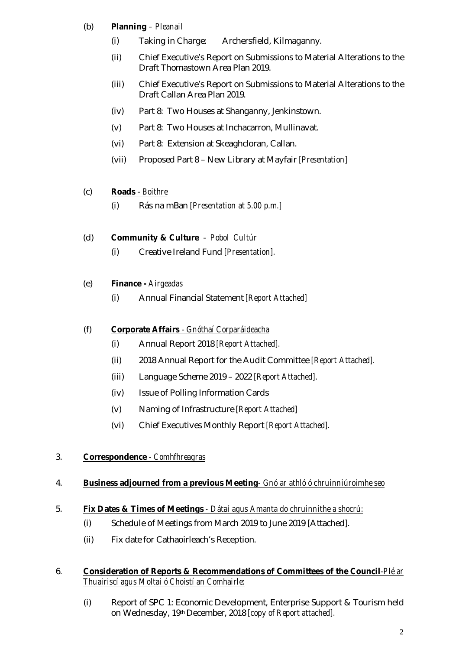# (b) **Planning** *– Pleanail*

- (i) Taking in Charge: Archersfield, Kilmaganny.
- (ii) Chief Executive's Report on Submissions to Material Alterations to the Draft Thomastown Area Plan 2019.
- (iii) Chief Executive's Report on Submissions to Material Alterations to the Draft Callan Area Plan 2019.
- (iv) Part 8: Two Houses at Shanganny, Jenkinstown.
- (v) Part 8: Two Houses at Inchacarron, Mullinavat.
- (vi) Part 8: Extension at Skeaghcloran, Callan.
- (vii) Proposed Part 8 New Library at Mayfair *[Presentation]*

# (c) **Roads** - *Boithre*

(i) Rás na mBan *[Presentation at 5.00 p.m.]*

# (d) **Community & Culture** - *Pobol Cultúr*

(i) Creative Ireland Fund *[Presentation].*

# (e) **Finance -** *Airgeadas*

(i) Annual Financial Statement *[Report Attached]*

# (f) **Corporate Affairs** - *Gnóthaí Corparáideacha*

- (i) Annual Report 2018 *[Report Attached].*
- (ii) 2018 Annual Report for the Audit Committee *[Report Attached].*
- (iii) Language Scheme 2019 2022 *[Report Attached].*
- (iv) Issue of Polling Information Cards
- (v) Naming of Infrastructure *[Report Attached]*
- (vi) Chief Executives Monthly Report *[Report Attached].*

# 3. **Correspondence** *- Comhfhreagras*

#### 4. **Business adjourned from a previous Meeting***- Gnó ar athló ó chruinniúroimhe seo*

#### 5. **Fix Dates & Times of Meetings** *- Dátaí agus Amanta do chruinnithe a shocrú:*

- (i) Schedule of Meetings from March 2019 to June 2019 [Attached].
- (ii) Fix date for Cathaoirleach's Reception.

#### 6. **Consideration of Reports & Recommendations of Committees of the Council***-Plé ar Thuairiscí agus Moltaí ó Choistí an Comhairle:*

(i) Report of SPC 1: Economic Development, Enterprise Support & Tourism held on Wednesday, 19th December, 2018 *[copy of Report attached].*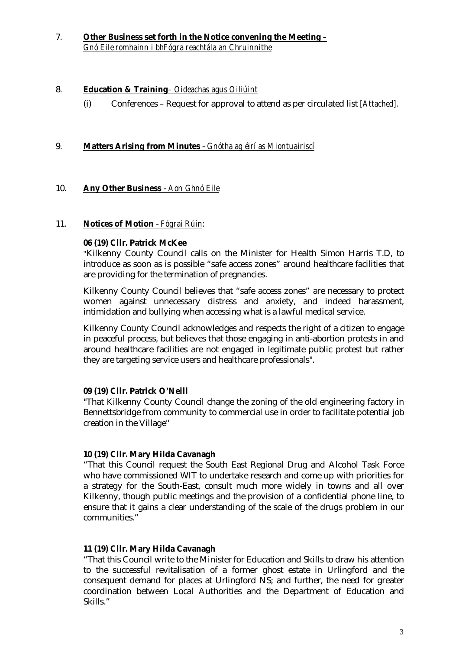7. **Other Business set forth in the Notice convening the Meeting –** *Gnó Eile romhainn i bhFógra reachtála an Chruinnithe*

#### 8. **Education & Training***– Oideachas agus Oiliúint*

(i) Conferences – Request for approval to attend as per circulated list *[Attached].*

#### 9. **Matters Arising from Minutes** - *Gnótha ag éirí as Miontuairiscí*

#### 10. **Any Other Business** - *Aon Ghnó Eile*

#### 11. **Notices of Motion** - *Fógraí Rúin:*

#### **06 (19) Cllr. Patrick McKee**

"Kilkenny County Council calls on the Minister for Health Simon Harris T.D, to introduce as soon as is possible "safe access zones" around healthcare facilities that are providing for the termination of pregnancies.

Kilkenny County Council believes that "safe access zones" are necessary to protect women against unnecessary distress and anxiety, and indeed harassment, intimidation and bullying when accessing what is a lawful medical service.

Kilkenny County Council acknowledges and respects the right of a citizen to engage in peaceful process, but believes that those engaging in anti-abortion protests in and around healthcare facilities are not engaged in legitimate public protest but rather they are targeting service users and healthcare professionals".

#### **09 (19) Cllr. Patrick O'Neill**

"That Kilkenny County Council change the zoning of the old engineering factory in Bennettsbridge from community to commercial use in order to facilitate potential job creation in the Village"

#### **10 (19) Cllr. Mary Hilda Cavanagh**

"That this Council request the South East Regional Drug and Alcohol Task Force who have commissioned WIT to undertake research and come up with priorities for a strategy for the South-East, consult much more widely in towns and all over Kilkenny, though public meetings and the provision of a confidential phone line, to ensure that it gains a clear understanding of the scale of the drugs problem in our communities."

#### **11 (19) Cllr. Mary Hilda Cavanagh**

"That this Council write to the Minister for Education and Skills to draw his attention to the successful revitalisation of a former ghost estate in Urlingford and the consequent demand for places at Urlingford NS; and further, the need for greater coordination between Local Authorities and the Department of Education and Skills."